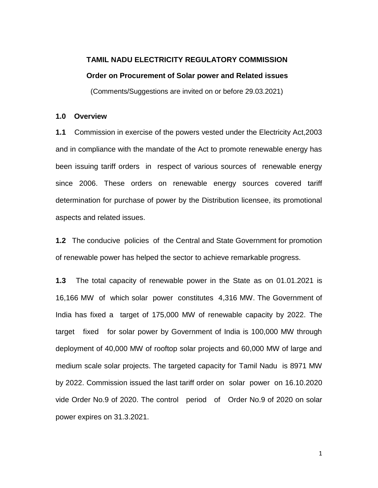## **TAMIL NADU ELECTRICITY REGULATORY COMMISSION Order on Procurement of Solar power and Related issues**

(Comments/Suggestions are invited on or before 29.03.2021)

### **1.0 Overview**

**1.1** Commission in exercise of the powers vested under the Electricity Act,2003 and in compliance with the mandate of the Act to promote renewable energy has been issuing tariff orders in respect of various sources of renewable energy since 2006. These orders on renewable energy sources covered tariff determination for purchase of power by the Distribution licensee, its promotional aspects and related issues.

**1.2** The conducive policies of the Central and State Government for promotion of renewable power has helped the sector to achieve remarkable progress.

**1.3** The total capacity of renewable power in the State as on 01.01.2021 is 16,166 MW of which solar power constitutes 4,316 MW. The Government of India has fixed a target of 175,000 MW of renewable capacity by 2022. The target fixed for solar power by Government of India is 100,000 MW through deployment of 40,000 MW of rooftop solar projects and 60,000 MW of large and medium scale solar projects. The targeted capacity for Tamil Nadu is 8971 MW by 2022. Commission issued the last tariff order on solar power on 16.10.2020 vide Order No.9 of 2020. The control period of Order No.9 of 2020 on solar power expires on 31.3.2021.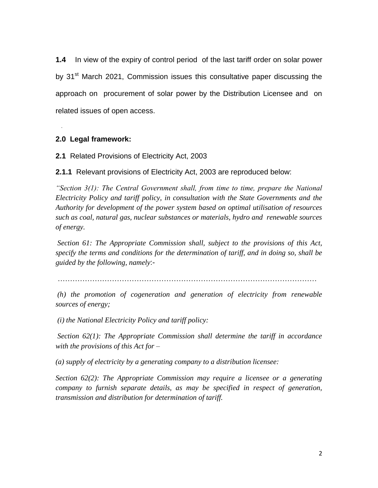**1.4** In view of the expiry of control period of the last tariff order on solar power by 31<sup>st</sup> March 2021, Commission issues this consultative paper discussing the approach on procurement of solar power by the Distribution Licensee and on related issues of open access.

## **2.0 Legal framework:**

.

**2.1** Related Provisions of Electricity Act, 2003

**2.1.1** Relevant provisions of Electricity Act, 2003 are reproduced below:

*"Section 3(1): The Central Government shall, from time to time, prepare the National Electricity Policy and tariff policy, in consultation with the State Governments and the Authority for development of the power system based on optimal utilisation of resources such as coal, natural gas, nuclear substances or materials, hydro and renewable sources of energy.* 

*Section 61: The Appropriate Commission shall, subject to the provisions of this Act, specify the terms and conditions for the determination of tariff, and in doing so, shall be guided by the following, namely*:-

……………………………………………………………………………………………

*(h) the promotion of cogeneration and generation of electricity from renewable sources of energy;*

*(i) the National Electricity Policy and tariff policy:* 

*Section 62(1): The Appropriate Commission shall determine the tariff in accordance with the provisions of this Act for –*

*(a) supply of electricity by a generating company to a distribution licensee:* 

*Section 62(2): The Appropriate Commission may require a licensee or a generating company to furnish separate details, as may be specified in respect of generation, transmission and distribution for determination of tariff.*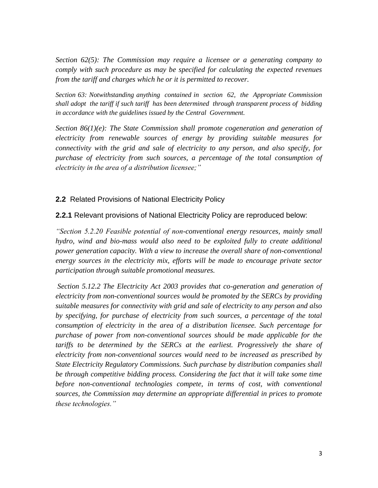*Section 62(5): The Commission may require a licensee or a generating company to comply with such procedure as may be specified for calculating the expected revenues from the tariff and charges which he or it is permitted to recover.*

*Section 63: Notwithstanding anything contained in section 62, the Appropriate Commission shall adopt the tariff if such tariff has been determined through transparent process of bidding in accordance with the guidelines issued by the Central Government.*

*Section 86(1)(e): The State Commission shall promote cogeneration and generation of electricity from renewable sources of energy by providing suitable measures for connectivity with the grid and sale of electricity to any person, and also specify, for purchase of electricity from such sources, a percentage of the total consumption of electricity in the area of a distribution licensee;"*

## **2.2** Related Provisions of National Electricity Policy

**2.2.1** Relevant provisions of National Electricity Policy are reproduced below:

*"Section 5.2.20 Feasible potential of non-conventional energy resources, mainly small hydro, wind and bio-mass would also need to be exploited fully to create additional power generation capacity. With a view to increase the overall share of non-conventional energy sources in the electricity mix, efforts will be made to encourage private sector participation through suitable promotional measures.* 

*Section 5.12.2 The Electricity Act 2003 provides that co-generation and generation of electricity from non-conventional sources would be promoted by the SERCs by providing suitable measures for connectivity with grid and sale of electricity to any person and also by specifying, for purchase of electricity from such sources, a percentage of the total consumption of electricity in the area of a distribution licensee. Such percentage for purchase of power from non-conventional sources should be made applicable for the*  tariffs to be determined by the SERCs at the earliest. Progressively the share of *electricity from non-conventional sources would need to be increased as prescribed by State Electricity Regulatory Commissions. Such purchase by distribution companies shall be through competitive bidding process. Considering the fact that it will take some time* before non-conventional technologies compete, in terms of cost, with conventional *sources, the Commission may determine an appropriate differential in prices to promote these technologies."*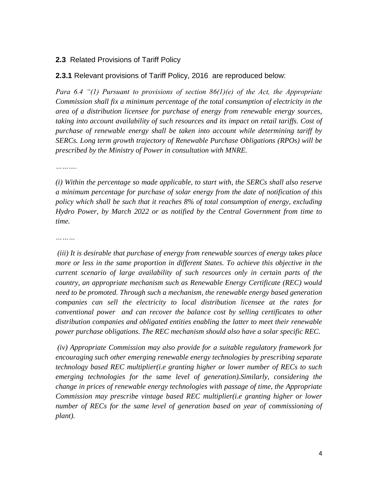## **2.3** Related Provisions of Tariff Policy

## **2.3.1** Relevant provisions of Tariff Policy, 2016 are reproduced below:

*Para 6.4 "(1) Pursuant to provisions of section 86(1)(e) of the Act, the Appropriate Commission shall fix a minimum percentage of the total consumption of electricity in the area of a distribution licensee for purchase of energy from renewable energy sources,*  taking into account availability of such resources and its impact on retail tariffs. Cost of *purchase of renewable energy shall be taken into account while determining tariff by SERCs. Long term growth trajectory of Renewable Purchase Obligations (RPOs) will be prescribed by the Ministry of Power in consultation with MNRE.*

*……….*

*(i) Within the percentage so made applicable, to start with, the SERCs shall also reserve a minimum percentage for purchase of solar energy from the date of notification of this policy which shall be such that it reaches 8% of total consumption of energy, excluding Hydro Power, by March 2022 or as notified by the Central Government from time to time.* 

*………*

*(iii) It is desirable that purchase of energy from renewable sources of energy takes place more or less in the same proportion in different States. To achieve this objective in the current scenario of large availability of such resources only in certain parts of the country, an appropriate mechanism such as Renewable Energy Certificate (REC) would need to be promoted. Through such a mechanism, the renewable energy based generation companies can sell the electricity to local distribution licensee at the rates for conventional power and can recover the balance cost by selling certificates to other distribution companies and obligated entities enabling the latter to meet their renewable power purchase obligations. The REC mechanism should also have a solar specific REC.* 

*(iv) Appropriate Commission may also provide for a suitable regulatory framework for encouraging such other emerging renewable energy technologies by prescribing separate technology based REC multiplier(i.e granting higher or lower number of RECs to such emerging technologies for the same level of generation).Similarly, considering the change in prices of renewable energy technologies with passage of time, the Appropriate Commission may prescribe vintage based REC multiplier(i.e granting higher or lower number of RECs for the same level of generation based on year of commissioning of plant).*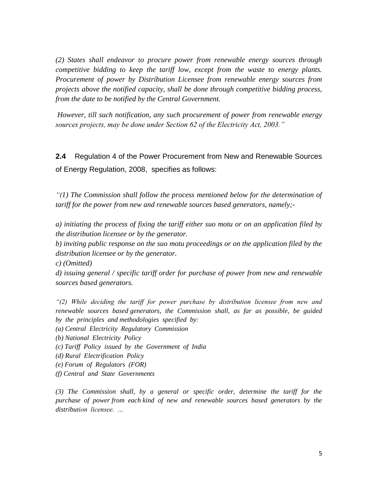*(2) States shall endeavor to procure power from renewable energy sources through competitive bidding to keep the tariff low, except from the waste to energy plants. Procurement of power by Distribution Licensee from renewable energy sources from projects above the notified capacity, shall be done through competitive bidding process, from the date to be notified by the Central Government.* 

*However, till such notification, any such procurement of power from renewable energy sources projects, may be done under Section 62 of the Electricity Act, 2003."*

**2.4** Regulation 4 of the Power Procurement from New and Renewable Sources of Energy Regulation, 2008, specifies as follows:

*"(1) The Commission shall follow the process mentioned below for the determination of tariff for the power from new and renewable sources based generators, namely;-*

*a) initiating the process of fixing the tariff either suo motu or on an application filed by the distribution licensee or by the generator.*

*b) inviting public response on the suo motu proceedings or on the application filed by the distribution licensee or by the generator.*

*c) (Omitted)*

*d) issuing general / specific tariff order for purchase of power from new and renewable sources based generators.*

*"(2) While deciding the tariff for power purchase by distribution licensee from new and renewable sources based generators, the Commission shall, as far as possible, be guided by the principles and methodologies specified by:*

- *(a) Central Electricity Regulatory Commission*
- *(b) National Electricity Policy*
- *(c) Tariff Policy issued by the Government of India*
- *(d) Rural Electrification Policy*
- *(e) Forum of Regulators (FOR)*
- *(f) Central and State Governments*

*(3) The Commission shall, by a general or specific order, determine the tariff for the purchase of power from each kind of new and renewable sources based generators by the distribution licensee. …*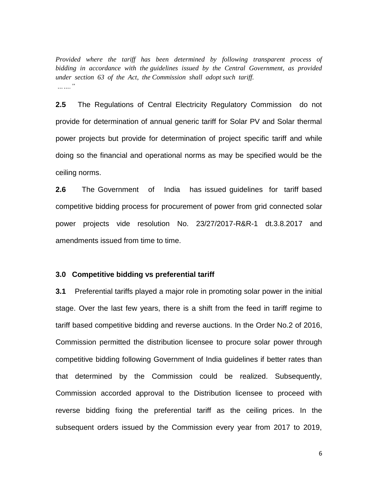*Provided where the tariff has been determined by following transparent process of bidding in accordance with the guidelines issued by the Central Government, as provided under section 63 of the Act, the Commission shall adopt such tariff. ……."*

**2.5** The Regulations of Central Electricity Regulatory Commission do not provide for determination of annual generic tariff for Solar PV and Solar thermal power projects but provide for determination of project specific tariff and while doing so the financial and operational norms as may be specified would be the ceiling norms.

**2.6** The Government of India has issued guidelines for tariff based competitive bidding process for procurement of power from grid connected solar power projects vide resolution No. 23/27/2017-R&R-1 dt.3.8.2017 and amendments issued from time to time.

## **3.0 Competitive bidding vs preferential tariff**

**3.1** Preferential tariffs played a major role in promoting solar power in the initial stage. Over the last few years, there is a shift from the feed in tariff regime to tariff based competitive bidding and reverse auctions. In the Order No.2 of 2016, Commission permitted the distribution licensee to procure solar power through competitive bidding following Government of India guidelines if better rates than that determined by the Commission could be realized. Subsequently, Commission accorded approval to the Distribution licensee to proceed with reverse bidding fixing the preferential tariff as the ceiling prices. In the subsequent orders issued by the Commission every year from 2017 to 2019,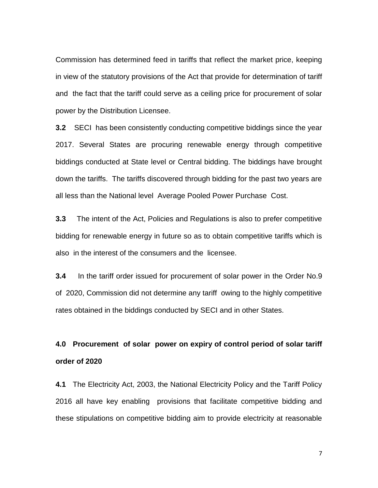Commission has determined feed in tariffs that reflect the market price, keeping in view of the statutory provisions of the Act that provide for determination of tariff and the fact that the tariff could serve as a ceiling price for procurement of solar power by the Distribution Licensee.

**3.2** SECI has been consistently conducting competitive biddings since the year 2017. Several States are procuring renewable energy through competitive biddings conducted at State level or Central bidding. The biddings have brought down the tariffs. The tariffs discovered through bidding for the past two years are all less than the National level Average Pooled Power Purchase Cost.

**3.3** The intent of the Act, Policies and Regulations is also to prefer competitive bidding for renewable energy in future so as to obtain competitive tariffs which is also in the interest of the consumers and the licensee.

**3.4** In the tariff order issued for procurement of solar power in the Order No.9 of 2020, Commission did not determine any tariff owing to the highly competitive rates obtained in the biddings conducted by SECI and in other States.

# **4.0 Procurement of solar power on expiry of control period of solar tariff order of 2020**

**4.1** The Electricity Act, 2003, the National Electricity Policy and the Tariff Policy 2016 all have key enabling provisions that facilitate competitive bidding and these stipulations on competitive bidding aim to provide electricity at reasonable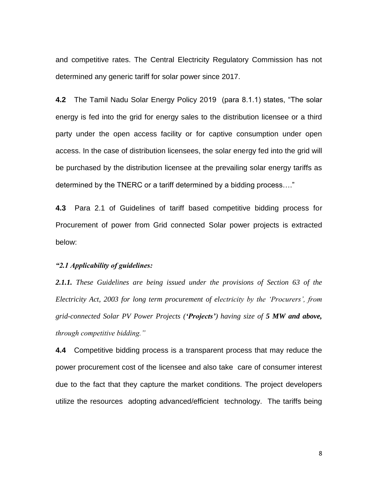and competitive rates. The Central Electricity Regulatory Commission has not determined any generic tariff for solar power since 2017.

**4.2** The Tamil Nadu Solar Energy Policy 2019 (para 8.1.1) states, "The solar energy is fed into the grid for energy sales to the distribution licensee or a third party under the open access facility or for captive consumption under open access. In the case of distribution licensees, the solar energy fed into the grid will be purchased by the distribution licensee at the prevailing solar energy tariffs as determined by the TNERC or a tariff determined by a bidding process…."

**4.3** Para 2.1 of Guidelines of tariff based competitive bidding process for Procurement of power from Grid connected Solar power projects is extracted below:

### *"2.1 Applicability of guidelines:*

*2.1.1. These Guidelines are being issued under the provisions of Section 63 of the Electricity Act, 2003 for long term procurement of electricity by the "Procurers", from grid-connected Solar PV Power Projects ('Projects') having size of 5 MW and above, through competitive bidding."*

**4.4** Competitive bidding process is a transparent process that may reduce the power procurement cost of the licensee and also take care of consumer interest due to the fact that they capture the market conditions. The project developers utilize the resources adopting advanced/efficient technology. The tariffs being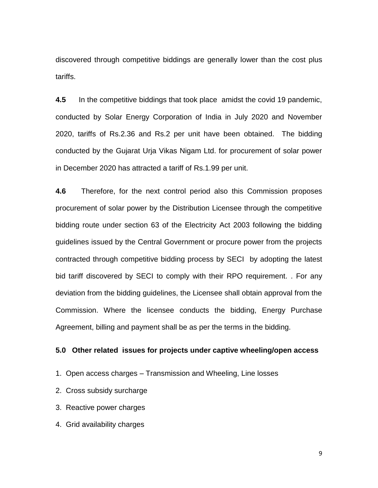discovered through competitive biddings are generally lower than the cost plus tariffs.

**4.5** In the competitive biddings that took place amidst the covid 19 pandemic, conducted by Solar Energy Corporation of India in July 2020 and November 2020, tariffs of Rs.2.36 and Rs.2 per unit have been obtained. The bidding conducted by the Gujarat Urja Vikas Nigam Ltd. for procurement of solar power in December 2020 has attracted a tariff of Rs.1.99 per unit.

**4.6** Therefore, for the next control period also this Commission proposes procurement of solar power by the Distribution Licensee through the competitive bidding route under section 63 of the Electricity Act 2003 following the bidding guidelines issued by the Central Government or procure power from the projects contracted through competitive bidding process by SECI by adopting the latest bid tariff discovered by SECI to comply with their RPO requirement. . For any deviation from the bidding guidelines, the Licensee shall obtain approval from the Commission. Where the licensee conducts the bidding, Energy Purchase Agreement, billing and payment shall be as per the terms in the bidding.

## **5.0 Other related issues for projects under captive wheeling/open access**

- 1. Open access charges Transmission and Wheeling, Line losses
- 2. Cross subsidy surcharge
- 3. Reactive power charges
- 4. Grid availability charges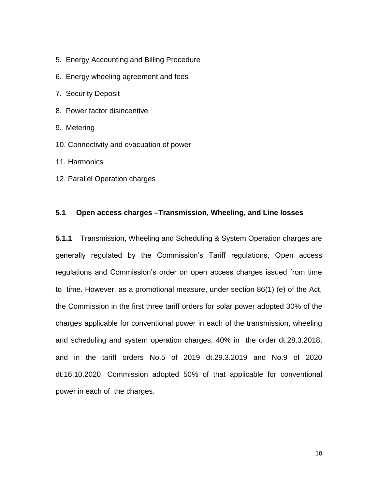- 5. Energy Accounting and Billing Procedure
- 6. Energy wheeling agreement and fees
- 7. Security Deposit
- 8. Power factor disincentive
- 9. Metering
- 10. Connectivity and evacuation of power
- 11. Harmonics
- 12. Parallel Operation charges

## **5.1 Open access charges –Transmission, Wheeling, and Line losses**

**5.1.1** Transmission, Wheeling and Scheduling & System Operation charges are generally regulated by the Commission's Tariff regulations, Open access regulations and Commission's order on open access charges issued from time to time. However, as a promotional measure, under section 86(1) (e) of the Act, the Commission in the first three tariff orders for solar power adopted 30% of the charges applicable for conventional power in each of the transmission, wheeling and scheduling and system operation charges, 40% in the order dt.28.3.2018, and in the tariff orders No.5 of 2019 dt.29.3.2019 and No.9 of 2020 dt.16.10.2020, Commission adopted 50% of that applicable for conventional power in each of the charges.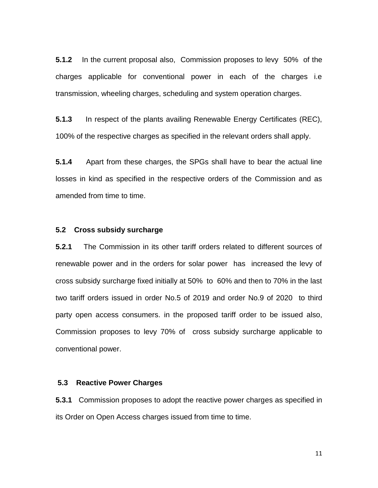**5.1.2** In the current proposal also, Commission proposes to levy 50% of the charges applicable for conventional power in each of the charges i.e transmission, wheeling charges, scheduling and system operation charges.

**5.1.3** In respect of the plants availing Renewable Energy Certificates (REC), 100% of the respective charges as specified in the relevant orders shall apply.

**5.1.4** Apart from these charges, the SPGs shall have to bear the actual line losses in kind as specified in the respective orders of the Commission and as amended from time to time.

### **5.2 Cross subsidy surcharge**

**5.2.1** The Commission in its other tariff orders related to different sources of renewable power and in the orders for solar power has increased the levy of cross subsidy surcharge fixed initially at 50% to 60% and then to 70% in the last two tariff orders issued in order No.5 of 2019 and order No.9 of 2020 to third party open access consumers. in the proposed tariff order to be issued also, Commission proposes to levy 70% of cross subsidy surcharge applicable to conventional power.

## **5.3 Reactive Power Charges**

**5.3.1** Commission proposes to adopt the reactive power charges as specified in its Order on Open Access charges issued from time to time.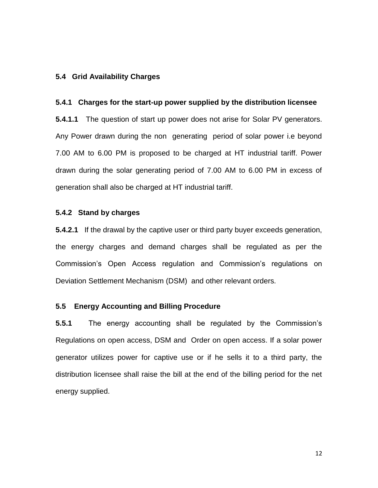### **5.4 Grid Availability Charges**

#### **5.4.1 Charges for the start-up power supplied by the distribution licensee**

**5.4.1.1** The question of start up power does not arise for Solar PV generators. Any Power drawn during the non generating period of solar power i.e beyond 7.00 AM to 6.00 PM is proposed to be charged at HT industrial tariff. Power drawn during the solar generating period of 7.00 AM to 6.00 PM in excess of generation shall also be charged at HT industrial tariff.

### **5.4.2 Stand by charges**

**5.4.2.1** If the drawal by the captive user or third party buyer exceeds generation, the energy charges and demand charges shall be regulated as per the Commission's Open Access regulation and Commission's regulations on Deviation Settlement Mechanism (DSM) and other relevant orders.

## **5.5 Energy Accounting and Billing Procedure**

**5.5.1** The energy accounting shall be regulated by the Commission's Regulations on open access, DSM and Order on open access. If a solar power generator utilizes power for captive use or if he sells it to a third party, the distribution licensee shall raise the bill at the end of the billing period for the net energy supplied.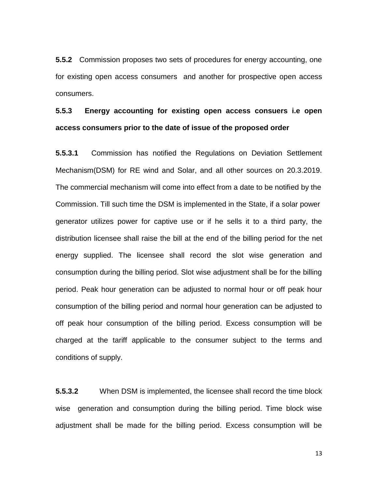**5.5.2** Commission proposes two sets of procedures for energy accounting, one for existing open access consumers and another for prospective open access consumers.

## **5.5.3 Energy accounting for existing open access consuers i.e open access consumers prior to the date of issue of the proposed order**

**5.5.3.1** Commission has notified the Regulations on Deviation Settlement Mechanism(DSM) for RE wind and Solar, and all other sources on 20.3.2019. The commercial mechanism will come into effect from a date to be notified by the Commission. Till such time the DSM is implemented in the State, if a solar power generator utilizes power for captive use or if he sells it to a third party, the distribution licensee shall raise the bill at the end of the billing period for the net energy supplied. The licensee shall record the slot wise generation and consumption during the billing period. Slot wise adjustment shall be for the billing period. Peak hour generation can be adjusted to normal hour or off peak hour consumption of the billing period and normal hour generation can be adjusted to off peak hour consumption of the billing period. Excess consumption will be charged at the tariff applicable to the consumer subject to the terms and conditions of supply.

**5.5.3.2** When DSM is implemented, the licensee shall record the time block wise generation and consumption during the billing period. Time block wise adjustment shall be made for the billing period. Excess consumption will be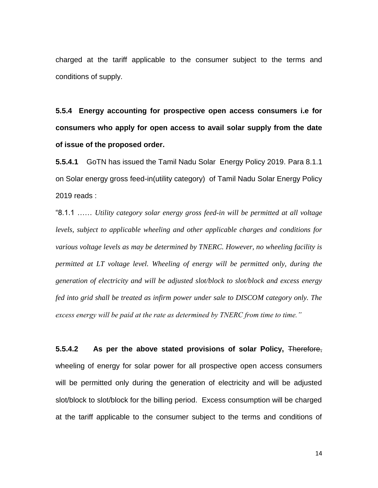charged at the tariff applicable to the consumer subject to the terms and conditions of supply.

**5.5.4 Energy accounting for prospective open access consumers i.e for consumers who apply for open access to avail solar supply from the date of issue of the proposed order.**

**5.5.4.1** GoTN has issued the Tamil Nadu Solar Energy Policy 2019. Para 8.1.1 on Solar energy gross feed-in(utility category) of Tamil Nadu Solar Energy Policy 2019 reads :

"8.1.1 …… *Utility category solar energy gross feed-in will be permitted at all voltage levels, subject to applicable wheeling and other applicable charges and conditions for various voltage levels as may be determined by TNERC. However, no wheeling facility is permitted at LT voltage level. Wheeling of energy will be permitted only, during the generation of electricity and will be adjusted slot/block to slot/block and excess energy fed into grid shall be treated as infirm power under sale to DISCOM category only. The excess energy will be paid at the rate as determined by TNERC from time to time."* 

**5.5.4.2 As per the above stated provisions of solar Policy,** Therefore, wheeling of energy for solar power for all prospective open access consumers will be permitted only during the generation of electricity and will be adjusted slot/block to slot/block for the billing period. Excess consumption will be charged at the tariff applicable to the consumer subject to the terms and conditions of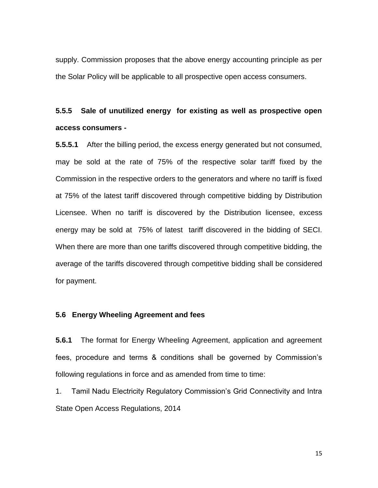supply. Commission proposes that the above energy accounting principle as per the Solar Policy will be applicable to all prospective open access consumers.

## **5.5.5 Sale of unutilized energy for existing as well as prospective open access consumers -**

**5.5.5.1** After the billing period, the excess energy generated but not consumed, may be sold at the rate of 75% of the respective solar tariff fixed by the Commission in the respective orders to the generators and where no tariff is fixed at 75% of the latest tariff discovered through competitive bidding by Distribution Licensee. When no tariff is discovered by the Distribution licensee, excess energy may be sold at 75% of latest tariff discovered in the bidding of SECI. When there are more than one tariffs discovered through competitive bidding, the average of the tariffs discovered through competitive bidding shall be considered for payment.

## **5.6 Energy Wheeling Agreement and fees**

**5.6.1** The format for Energy Wheeling Agreement, application and agreement fees, procedure and terms & conditions shall be governed by Commission's following regulations in force and as amended from time to time:

1. Tamil Nadu Electricity Regulatory Commission's Grid Connectivity and Intra State Open Access Regulations, 2014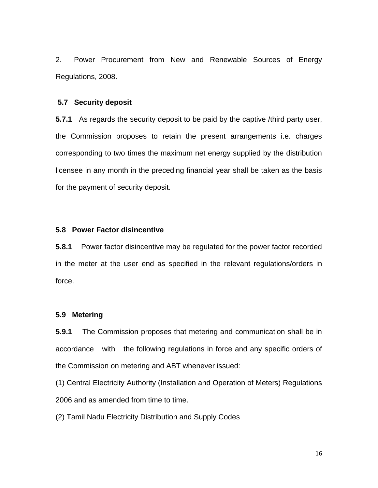2. Power Procurement from New and Renewable Sources of Energy Regulations, 2008.

### **5.7 Security deposit**

**5.7.1** As regards the security deposit to be paid by the captive /third party user, the Commission proposes to retain the present arrangements i.e. charges corresponding to two times the maximum net energy supplied by the distribution licensee in any month in the preceding financial year shall be taken as the basis for the payment of security deposit.

### **5.8 Power Factor disincentive**

**5.8.1** Power factor disincentive may be regulated for the power factor recorded in the meter at the user end as specified in the relevant regulations/orders in force.

## **5.9 Metering**

**5.9.1** The Commission proposes that metering and communication shall be in accordance with the following regulations in force and any specific orders of the Commission on metering and ABT whenever issued:

(1) Central Electricity Authority (Installation and Operation of Meters) Regulations 2006 and as amended from time to time.

(2) Tamil Nadu Electricity Distribution and Supply Codes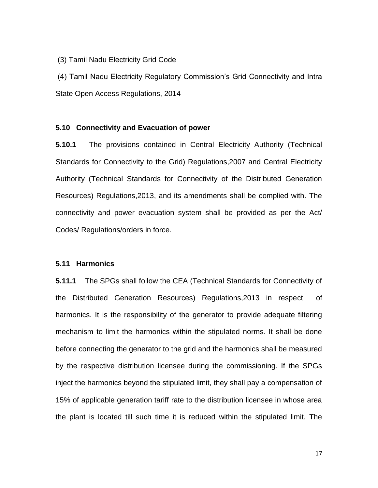### (3) Tamil Nadu Electricity Grid Code

(4) Tamil Nadu Electricity Regulatory Commission's Grid Connectivity and Intra State Open Access Regulations, 2014

### **5.10 Connectivity and Evacuation of power**

**5.10.1** The provisions contained in Central Electricity Authority (Technical Standards for Connectivity to the Grid) Regulations,2007 and Central Electricity Authority (Technical Standards for Connectivity of the Distributed Generation Resources) Regulations,2013, and its amendments shall be complied with. The connectivity and power evacuation system shall be provided as per the Act/ Codes/ Regulations/orders in force.

### **5.11 Harmonics**

**5.11.1** The SPGs shall follow the CEA (Technical Standards for Connectivity of the Distributed Generation Resources) Regulations,2013 in respect of harmonics. It is the responsibility of the generator to provide adequate filtering mechanism to limit the harmonics within the stipulated norms. It shall be done before connecting the generator to the grid and the harmonics shall be measured by the respective distribution licensee during the commissioning. If the SPGs inject the harmonics beyond the stipulated limit, they shall pay a compensation of 15% of applicable generation tariff rate to the distribution licensee in whose area the plant is located till such time it is reduced within the stipulated limit. The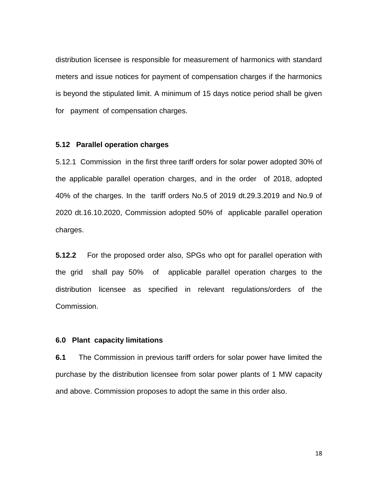distribution licensee is responsible for measurement of harmonics with standard meters and issue notices for payment of compensation charges if the harmonics is beyond the stipulated limit. A minimum of 15 days notice period shall be given for payment of compensation charges.

### **5.12 Parallel operation charges**

5.12.1 Commission in the first three tariff orders for solar power adopted 30% of the applicable parallel operation charges, and in the order of 2018, adopted 40% of the charges. In the tariff orders No.5 of 2019 dt.29.3.2019 and No.9 of 2020 dt.16.10.2020, Commission adopted 50% of applicable parallel operation charges.

**5.12.2** For the proposed order also, SPGs who opt for parallel operation with the grid shall pay 50% of applicable parallel operation charges to the distribution licensee as specified in relevant regulations/orders of the Commission.

### **6.0 Plant capacity limitations**

**6.1** The Commission in previous tariff orders for solar power have limited the purchase by the distribution licensee from solar power plants of 1 MW capacity and above. Commission proposes to adopt the same in this order also.